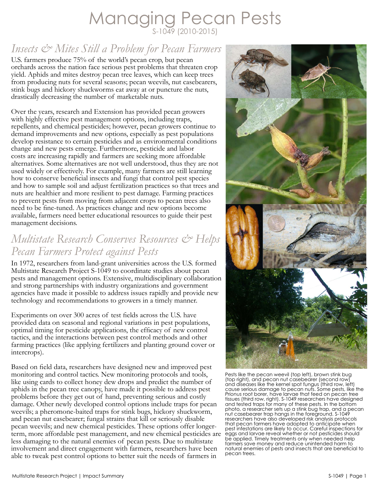## Managing Pecan Pests S-1049 (2010-2015)

## *Insects & Mites Still a Problem for Pecan Farmers*

U.S. farmers produce 75% of the world's pecan crop, but pecan orchards across the nation face serious pest problems that threaten crop yield. Aphids and mites destroy pecan tree leaves, which can keep trees from producing nuts for several seasons; pecan weevils, nut casebearers, stink bugs and hickory shuckworms eat away at or puncture the nuts, drastically decreasing the number of marketable nuts.

Over the years, research and Extension has provided pecan growers with highly effective pest management options, including traps, repellents, and chemical pesticides; however, pecan growers continue to demand improvements and new options, especially as pest populations develop resistance to certain pesticides and as environmental conditions change and new pests emerge. Furthermore, pesticide and labor costs are increasing rapidly and farmers are seeking more affordable alternatives. Some alternatives are not well understood, thus they are not used widely or effectively. For example, many farmers are still learning how to conserve beneficial insects and fungi that control pest species and how to sample soil and adjust fertilization practices so that trees and nuts are healthier and more resilient to pest damage. Farming practices to prevent pests from moving from adjacent crops to pecan trees also need to be fine-tuned. As practices change and new options become available, farmers need better educational resources to guide their pest management decisions.

### *Multistate Research Conserves Resources & Helps Pecan Farmers Protect against Pests*

In 1972, researchers from land-grant universities across the U.S. formed Multistate Research Project S-1049 to coordinate studies about pecan pests and management options. Extensive, multidisciplinary collaboration and strong partnerships with industry organizations and government agencies have made it possible to address issues rapidly and provide new technology and recommendations to growers in a timely manner.

Experiments on over 300 acres of test fields across the U.S. have provided data on seasonal and regional variations in pest populations, optimal timing for pesticide applications, the efficacy of new control tactics, and the interactions between pest control methods and other farming practices (like applying fertilizers and planting ground cover or intercrops).

Based on field data, researchers have designed new and improved pest monitoring and control tactics. New monitoring protocols and tools, like using cards to collect honey dew drops and predict the number of aphids in the pecan tree canopy, have made it possible to address pest problems before they get out of hand, preventing serious and costly damage. Other newly developed control options include traps for pecan weevils; a pheromone-baited traps for stink bugs, hickory shuckworm, and pecan nut casebearer; fungal strains that kill or seriously disable pecan weevils; and new chemical pesticides. These options offer longerterm, more affordable pest management, and new chemical pesticides are less damaging to the natural enemies of pecan pests. Due to multistate involvement and direct engagement with farmers, researchers have been able to tweak pest control options to better suit the needs of farmers in



Pests like the pecan weevil (top left), brown stink bug (top right), and pecan nut casebearer (second row) and diseases like the kernel spot fungus (third row, left) cause serious damage to pecan nuts. Some pests, like the *Prionus* root borer, have larvae that feed on pecan tree tissues (third row, right). S-1049 researchers have designed and tested traps for many of these pests. In the bottom photo, a researcher sets up a stink bug trap, and a pecan nut casebearer trap hangs in the foreground. S-1049 researchers have also developed risk analysis protocols that pecan farmers have adopted to anticipate when pest infestations are likely to occur. Careful inspections for eggs and larvae reveal whether or not pesticides should be applied. Timely treatments only when needed help farmers save money and reduce unintended harm to natural enemies of pests and insects that are beneficial to pecan trees.